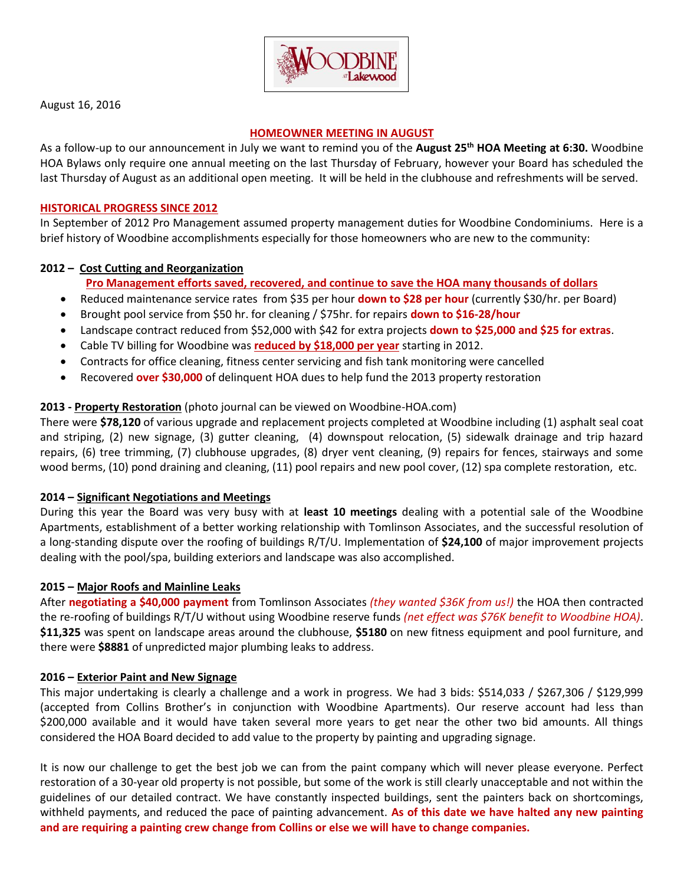

August 16, 2016

#### **HOMEOWNER MEETING IN AUGUST**

As a follow-up to our announcement in July we want to remind you of the **August 25th HOA Meeting at 6:30.** Woodbine HOA Bylaws only require one annual meeting on the last Thursday of February, however your Board has scheduled the last Thursday of August as an additional open meeting. It will be held in the clubhouse and refreshments will be served.

#### **HISTORICAL PROGRESS SINCE 2012**

In September of 2012 Pro Management assumed property management duties for Woodbine Condominiums. Here is a brief history of Woodbine accomplishments especially for those homeowners who are new to the community:

## **2012 – Cost Cutting and Reorganization**

# **Pro Management efforts saved, recovered, and continue to save the HOA many thousands of dollars**

- Reduced maintenance service rates from \$35 per hour **down to \$28 per hour** (currently \$30/hr. per Board)
- Brought pool service from \$50 hr. for cleaning / \$75hr. for repairs **down to \$16-28/hour**
- Landscape contract reduced from \$52,000 with \$42 for extra projects **down to \$25,000 and \$25 for extras**.
- Cable TV billing for Woodbine was **reduced by \$18,000 per year** starting in 2012.
- Contracts for office cleaning, fitness center servicing and fish tank monitoring were cancelled
- Recovered **over \$30,000** of delinquent HOA dues to help fund the 2013 property restoration

## **2013 - Property Restoration** (photo journal can be viewed on Woodbine-HOA.com)

There were **\$78,120** of various upgrade and replacement projects completed at Woodbine including (1) asphalt seal coat and striping, (2) new signage, (3) gutter cleaning, (4) downspout relocation, (5) sidewalk drainage and trip hazard repairs, (6) tree trimming, (7) clubhouse upgrades, (8) dryer vent cleaning, (9) repairs for fences, stairways and some wood berms, (10) pond draining and cleaning, (11) pool repairs and new pool cover, (12) spa complete restoration, etc.

## **2014 – Significant Negotiations and Meetings**

During this year the Board was very busy with at **least 10 meetings** dealing with a potential sale of the Woodbine Apartments, establishment of a better working relationship with Tomlinson Associates, and the successful resolution of a long-standing dispute over the roofing of buildings R/T/U. Implementation of **\$24,100** of major improvement projects dealing with the pool/spa, building exteriors and landscape was also accomplished.

## **2015 – Major Roofs and Mainline Leaks**

After **negotiating a \$40,000 payment** from Tomlinson Associates *(they wanted \$36K from us!)* the HOA then contracted the re-roofing of buildings R/T/U without using Woodbine reserve funds *(net effect was \$76K benefit to Woodbine HOA)*. **\$11,325** was spent on landscape areas around the clubhouse, **\$5180** on new fitness equipment and pool furniture, and there were **\$8881** of unpredicted major plumbing leaks to address.

#### **2016 – Exterior Paint and New Signage**

This major undertaking is clearly a challenge and a work in progress. We had 3 bids: \$514,033 / \$267,306 / \$129,999 (accepted from Collins Brother's in conjunction with Woodbine Apartments). Our reserve account had less than \$200,000 available and it would have taken several more years to get near the other two bid amounts. All things considered the HOA Board decided to add value to the property by painting and upgrading signage.

It is now our challenge to get the best job we can from the paint company which will never please everyone. Perfect restoration of a 30-year old property is not possible, but some of the work is still clearly unacceptable and not within the guidelines of our detailed contract. We have constantly inspected buildings, sent the painters back on shortcomings, withheld payments, and reduced the pace of painting advancement. **As of this date we have halted any new painting and are requiring a painting crew change from Collins or else we will have to change companies.**